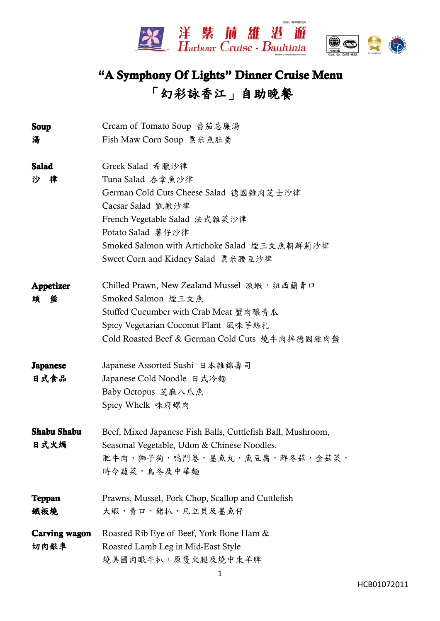



## **"A Symphony Symphony Of Lights" Dinner Cruise Menu 「幻彩詠香江」自助晚餐 「幻彩詠香江」自助晚餐 「幻彩詠香江」自助晚餐**

| Soup                 | Cream of Tomato Soup 番茄忌廉湯                                  |
|----------------------|-------------------------------------------------------------|
| 湯                    | Fish Maw Corn Soup 粟米魚肚羹                                    |
| <b>Salad</b>         | Greek Salad 希臘沙律                                            |
| 沙<br>律               | Tuna Salad 吞拿魚沙律                                            |
|                      | German Cold Cuts Cheese Salad 德國雜肉芝士沙律                      |
|                      | Caesar Salad 凱撒沙律                                           |
|                      | French Vegetable Salad 法式雜菜沙律                               |
|                      | Potato Salad 薯仔沙律                                           |
|                      | Smoked Salmon with Artichoke Salad 煙三文魚朝鮮薊沙律                |
|                      | Sweet Corn and Kidney Salad 粟米腰豆沙律                          |
| Appetizer            | Chilled Prawn, New Zealand Mussel 凍蝦, 纽西蘭青口                 |
| 頭<br>盤               | Smoked Salmon 煙三文魚                                          |
|                      | Stuffed Cucumber with Crab Meat 蟹肉釀青瓜                       |
|                      | Spicy Vegetarian Coconut Plant 風味芋絲扎                        |
|                      | Cold Roasted Beef & German Cold Cuts 燒牛肉拌德國雜肉盤              |
| <b>Japanese</b>      | Japanese Assorted Sushi 日本雜錦壽司                              |
| 日式食品                 | Japanese Cold Noodle 日式冷麺                                   |
|                      | Baby Octopus 芝麻八爪魚                                          |
|                      | Spicy Whelk 味府螺肉                                            |
| <b>Shabu Shabu</b>   | Beef, Mixed Japanese Fish Balls, Cuttlefish Ball, Mushroom, |
| 日式火焗                 | Seasonal Vegetable, Udon & Chinese Noodles.                 |
|                      | 肥牛肉, 獅子狗, 嗚門卷, 墨魚丸, 魚豆腐, 鮮冬菇, 金菇菜,                          |
|                      | 時令蔬菜, 烏冬及中華麵                                                |
| <b>Teppan</b>        | Prawns, Mussel, Pork Chop, Scallop and Cuttlefish           |
| 鐵板燒                  | 大蝦,青口,豬扒,凡立貝及墨魚仔                                            |
| <b>Carving wagon</b> | Roasted Rib Eye of Beef, York Bone Ham &                    |
| 切肉銀車                 | Roasted Lamb Leg in Mid-East Style                          |
|                      | 燒美國肉眼牛扒,原隻火腿及燒中東羊脾                                          |